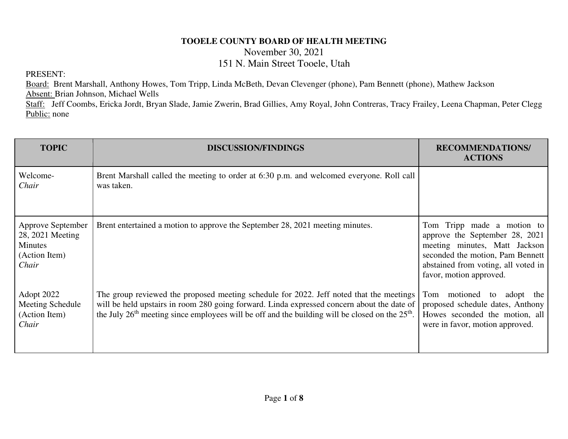## **TOOELE COUNTY BOARD OF HEALTH MEETING**

November 30, 2021

## 151 N. Main Street Tooele, Utah

PRESENT:

Board: Brent Marshall, Anthony Howes, Tom Tripp, Linda McBeth, Devan Clevenger (phone), Pam Bennett (phone), Mathew Jackson Absent: Brian Johnson, Michael Wells

Staff: Jeff Coombs, Ericka Jordt, Bryan Slade, Jamie Zwerin, Brad Gillies, Amy Royal, John Contreras, Tracy Frailey, Leena Chapman, Peter Clegg Public: none

| <b>TOPIC</b>                                                                      | <b>DISCUSSION/FINDINGS</b>                                                                                                                                                                                                                                                                   | <b>RECOMMENDATIONS/</b><br><b>ACTIONS</b>                                                                                                                                                              |
|-----------------------------------------------------------------------------------|----------------------------------------------------------------------------------------------------------------------------------------------------------------------------------------------------------------------------------------------------------------------------------------------|--------------------------------------------------------------------------------------------------------------------------------------------------------------------------------------------------------|
| Welcome-<br>Chair                                                                 | Brent Marshall called the meeting to order at 6:30 p.m. and welcomed everyone. Roll call<br>was taken.                                                                                                                                                                                       |                                                                                                                                                                                                        |
| Approve September<br>28, 2021 Meeting<br><b>Minutes</b><br>(Action Item)<br>Chair | Brent entertained a motion to approve the September 28, 2021 meeting minutes.                                                                                                                                                                                                                | Tripp made a motion to<br>Tom<br>approve the September 28, 2021<br>meeting minutes, Matt Jackson<br>seconded the motion, Pam Bennett<br>abstained from voting, all voted in<br>favor, motion approved. |
| Adopt 2022<br>Meeting Schedule<br>(Action Item)<br>Chair                          | The group reviewed the proposed meeting schedule for 2022. Jeff noted that the meetings<br>will be held upstairs in room 280 going forward. Linda expressed concern about the date of<br>the July $26th$ meeting since employees will be off and the building will be closed on the $25th$ . | motioned to<br>adopt the<br>Tom<br>proposed schedule dates, Anthony<br>Howes seconded the motion, all<br>were in favor, motion approved.                                                               |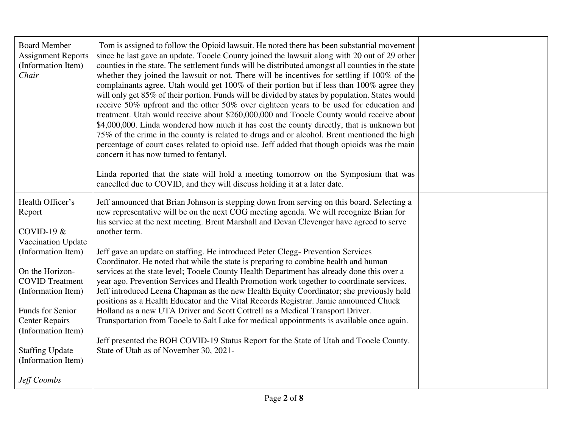| <b>Board Member</b><br><b>Assignment Reports</b><br>(Information Item)<br>Chair | Tom is assigned to follow the Opioid lawsuit. He noted there has been substantial movement<br>since he last gave an update. Tooele County joined the lawsuit along with 20 out of 29 other<br>counties in the state. The settlement funds will be distributed amongst all counties in the state<br>whether they joined the lawsuit or not. There will be incentives for settling if 100% of the<br>complainants agree. Utah would get 100% of their portion but if less than 100% agree they<br>will only get 85% of their portion. Funds will be divided by states by population. States would<br>receive 50% upfront and the other 50% over eighteen years to be used for education and<br>treatment. Utah would receive about \$260,000,000 and Tooele County would receive about<br>\$4,000,000. Linda wondered how much it has cost the county directly, that is unknown but<br>75% of the crime in the county is related to drugs and or alcohol. Brent mentioned the high<br>percentage of court cases related to opioid use. Jeff added that though opioids was the main<br>concern it has now turned to fentanyl.<br>Linda reported that the state will hold a meeting tomorrow on the Symposium that was<br>cancelled due to COVID, and they will discuss holding it at a later date. |  |
|---------------------------------------------------------------------------------|-------------------------------------------------------------------------------------------------------------------------------------------------------------------------------------------------------------------------------------------------------------------------------------------------------------------------------------------------------------------------------------------------------------------------------------------------------------------------------------------------------------------------------------------------------------------------------------------------------------------------------------------------------------------------------------------------------------------------------------------------------------------------------------------------------------------------------------------------------------------------------------------------------------------------------------------------------------------------------------------------------------------------------------------------------------------------------------------------------------------------------------------------------------------------------------------------------------------------------------------------------------------------------------------------|--|
| Health Officer's<br>Report<br>COVID-19 $&$                                      | Jeff announced that Brian Johnson is stepping down from serving on this board. Selecting a<br>new representative will be on the next COG meeting agenda. We will recognize Brian for<br>his service at the next meeting. Brent Marshall and Devan Clevenger have agreed to serve<br>another term.                                                                                                                                                                                                                                                                                                                                                                                                                                                                                                                                                                                                                                                                                                                                                                                                                                                                                                                                                                                               |  |
| Vaccination Update                                                              |                                                                                                                                                                                                                                                                                                                                                                                                                                                                                                                                                                                                                                                                                                                                                                                                                                                                                                                                                                                                                                                                                                                                                                                                                                                                                                 |  |
| (Information Item)                                                              | Jeff gave an update on staffing. He introduced Peter Clegg- Prevention Services<br>Coordinator. He noted that while the state is preparing to combine health and human                                                                                                                                                                                                                                                                                                                                                                                                                                                                                                                                                                                                                                                                                                                                                                                                                                                                                                                                                                                                                                                                                                                          |  |
| On the Horizon-                                                                 | services at the state level; Tooele County Health Department has already done this over a                                                                                                                                                                                                                                                                                                                                                                                                                                                                                                                                                                                                                                                                                                                                                                                                                                                                                                                                                                                                                                                                                                                                                                                                       |  |
| <b>COVID</b> Treatment<br>(Information Item)                                    | year ago. Prevention Services and Health Promotion work together to coordinate services.<br>Jeff introduced Leena Chapman as the new Health Equity Coordinator; she previously held<br>positions as a Health Educator and the Vital Records Registrar. Jamie announced Chuck                                                                                                                                                                                                                                                                                                                                                                                                                                                                                                                                                                                                                                                                                                                                                                                                                                                                                                                                                                                                                    |  |
| Funds for Senior                                                                | Holland as a new UTA Driver and Scott Cottrell as a Medical Transport Driver.                                                                                                                                                                                                                                                                                                                                                                                                                                                                                                                                                                                                                                                                                                                                                                                                                                                                                                                                                                                                                                                                                                                                                                                                                   |  |
| <b>Center Repairs</b><br>(Information Item)                                     | Transportation from Tooele to Salt Lake for medical appointments is available once again.                                                                                                                                                                                                                                                                                                                                                                                                                                                                                                                                                                                                                                                                                                                                                                                                                                                                                                                                                                                                                                                                                                                                                                                                       |  |
|                                                                                 | Jeff presented the BOH COVID-19 Status Report for the State of Utah and Tooele County.                                                                                                                                                                                                                                                                                                                                                                                                                                                                                                                                                                                                                                                                                                                                                                                                                                                                                                                                                                                                                                                                                                                                                                                                          |  |
| <b>Staffing Update</b><br>(Information Item)                                    | State of Utah as of November 30, 2021-                                                                                                                                                                                                                                                                                                                                                                                                                                                                                                                                                                                                                                                                                                                                                                                                                                                                                                                                                                                                                                                                                                                                                                                                                                                          |  |
| Jeff Coombs                                                                     |                                                                                                                                                                                                                                                                                                                                                                                                                                                                                                                                                                                                                                                                                                                                                                                                                                                                                                                                                                                                                                                                                                                                                                                                                                                                                                 |  |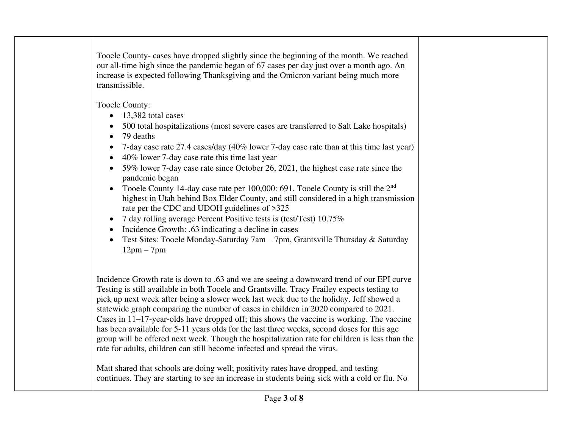Tooele County- cases have dropped slightly since the beginning of the month. We reached our all-time high since the pandemic began of 67 cases per day just over a month ago. An increase is expected following Thanksgiving and the Omicron variant being much more transmissible.

Tooele County:

- 13,382 total cases
- 500 total hospitalizations (most severe cases are transferred to Salt Lake hospitals)
- 79 deaths
- 7-day case rate 27.4 cases/day (40% lower 7-day case rate than at this time last year)
- 40% lower 7-day case rate this time last year
- 59% lower 7-day case rate since October 26, 2021, the highest case rate since the pandemic began
- Tooele County 14-day case rate per 100,000: 691. Tooele County is still the  $2<sup>nd</sup>$ highest in Utah behind Box Elder County, and still considered in a high transmission rate per the CDC and UDOH guidelines of >325
- 7 day rolling average Percent Positive tests is (test/Test) 10.75%
- Incidence Growth: .63 indicating a decline in cases
- Test Sites: Tooele Monday-Saturday 7am 7pm, Grantsville Thursday & Saturday  $12$ pm –  $7$ pm

Incidence Growth rate is down to .63 and we are seeing a downward trend of our EPI curve Testing is still available in both Tooele and Grantsville. Tracy Frailey expects testing to pick up next week after being a slower week last week due to the holiday. Jeff showed a statewide graph comparing the number of cases in children in 2020 compared to 2021. Cases in 11–17-year-olds have dropped off; this shows the vaccine is working. The vaccine has been available for 5-11 years olds for the last three weeks, second doses for this age group will be offered next week. Though the hospitalization rate for children is less than the rate for adults, children can still become infected and spread the virus.

Matt shared that schools are doing well; positivity rates have dropped, and testing continues. They are starting to see an increase in students being sick with a cold or flu. No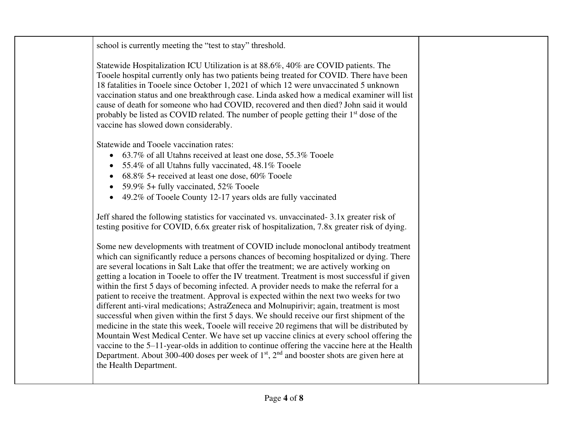school is currently meeting the "test to stay" threshold.

Statewide Hospitalization ICU Utilization is at 88.6%, 40% are COVID patients. The Tooele hospital currently only has two patients being treated for COVID. There have been 18 fatalities in Tooele since October 1, 2021 of which 12 were unvaccinated 5 unknown vaccination status and one breakthrough case. Linda asked how a medical examiner will list cause of death for someone who had COVID, recovered and then died? John said it would probably be listed as COVID related. The number of people getting their  $1<sup>st</sup>$  dose of the vaccine has slowed down considerably.

Statewide and Tooele vaccination rates:

- 63.7% of all Utahns received at least one dose, 55.3% Tooele
- 55.4% of all Utahns fully vaccinated, 48.1% Tooele
- 68.8% 5+ received at least one dose, 60% Tooele
- 59.9% 5+ fully vaccinated, 52% Toole
- 49.2% of Tooele County 12-17 years olds are fully vaccinated

Jeff shared the following statistics for vaccinated vs. unvaccinated- 3.1x greater risk of testing positive for COVID, 6.6x greater risk of hospitalization, 7.8x greater risk of dying.

Some new developments with treatment of COVID include monoclonal antibody treatment which can significantly reduce a persons chances of becoming hospitalized or dying. There are several locations in Salt Lake that offer the treatment; we are actively working on getting a location in Tooele to offer the IV treatment. Treatment is most successful if given within the first 5 days of becoming infected. A provider needs to make the referral for a patient to receive the treatment. Approval is expected within the next two weeks for two different anti-viral medications; AstraZeneca and Molnupirivir; again, treatment is most successful when given within the first 5 days. We should receive our first shipment of the medicine in the state this week, Tooele will receive 20 regimens that will be distributed by Mountain West Medical Center. We have set up vaccine clinics at every school offering the vaccine to the 5–11-year-olds in addition to continue offering the vaccine here at the Health Department. About 300-400 doses per week of  $1<sup>st</sup>$ ,  $2<sup>nd</sup>$  and booster shots are given here at the Health Department.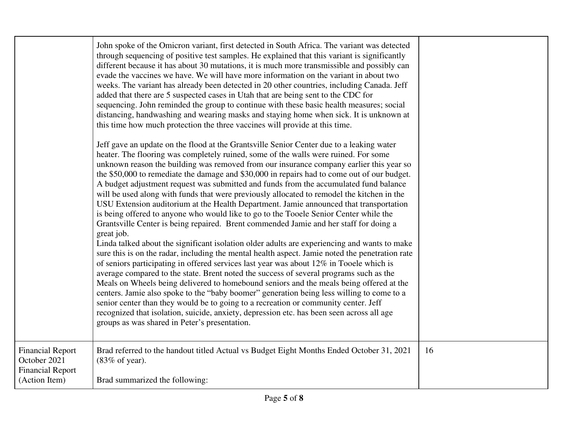|                                                                                     | John spoke of the Omicron variant, first detected in South Africa. The variant was detected<br>through sequencing of positive test samples. He explained that this variant is significantly<br>different because it has about 30 mutations, it is much more transmissible and possibly can<br>evade the vaccines we have. We will have more information on the variant in about two<br>weeks. The variant has already been detected in 20 other countries, including Canada. Jeff<br>added that there are 5 suspected cases in Utah that are being sent to the CDC for<br>sequencing. John reminded the group to continue with these basic health measures; social<br>distancing, handwashing and wearing masks and staying home when sick. It is unknown at<br>this time how much protection the three vaccines will provide at this time.<br>Jeff gave an update on the flood at the Grantsville Senior Center due to a leaking water<br>heater. The flooring was completely ruined, some of the walls were ruined. For some<br>unknown reason the building was removed from our insurance company earlier this year so<br>the \$50,000 to remediate the damage and \$30,000 in repairs had to come out of our budget.<br>A budget adjustment request was submitted and funds from the accumulated fund balance<br>will be used along with funds that were previously allocated to remodel the kitchen in the<br>USU Extension auditorium at the Health Department. Jamie announced that transportation<br>is being offered to anyone who would like to go to the Tooele Senior Center while the<br>Grantsville Center is being repaired. Brent commended Jamie and her staff for doing a<br>great job.<br>Linda talked about the significant isolation older adults are experiencing and wants to make<br>sure this is on the radar, including the mental health aspect. Jamie noted the penetration rate<br>of seniors participating in offered services last year was about 12% in Tooele which is<br>average compared to the state. Brent noted the success of several programs such as the<br>Meals on Wheels being delivered to homebound seniors and the meals being offered at the<br>centers. Jamie also spoke to the "baby boomer" generation being less willing to come to a<br>senior center than they would be to going to a recreation or community center. Jeff<br>recognized that isolation, suicide, anxiety, depression etc. has been seen across all age<br>groups as was shared in Peter's presentation. |    |
|-------------------------------------------------------------------------------------|--------------------------------------------------------------------------------------------------------------------------------------------------------------------------------------------------------------------------------------------------------------------------------------------------------------------------------------------------------------------------------------------------------------------------------------------------------------------------------------------------------------------------------------------------------------------------------------------------------------------------------------------------------------------------------------------------------------------------------------------------------------------------------------------------------------------------------------------------------------------------------------------------------------------------------------------------------------------------------------------------------------------------------------------------------------------------------------------------------------------------------------------------------------------------------------------------------------------------------------------------------------------------------------------------------------------------------------------------------------------------------------------------------------------------------------------------------------------------------------------------------------------------------------------------------------------------------------------------------------------------------------------------------------------------------------------------------------------------------------------------------------------------------------------------------------------------------------------------------------------------------------------------------------------------------------------------------------------------------------------------------------------------------------------------------------------------------------------------------------------------------------------------------------------------------------------------------------------------------------------------------------------------------------------------------------------------------------------------------------------------------------------------------------------------------------------------------------------------------------------------------------------------------|----|
| <b>Financial Report</b><br>October 2021<br><b>Financial Report</b><br>(Action Item) | Brad referred to the handout titled Actual vs Budget Eight Months Ended October 31, 2021<br>$(83\% \text{ of year}).$<br>Brad summarized the following:                                                                                                                                                                                                                                                                                                                                                                                                                                                                                                                                                                                                                                                                                                                                                                                                                                                                                                                                                                                                                                                                                                                                                                                                                                                                                                                                                                                                                                                                                                                                                                                                                                                                                                                                                                                                                                                                                                                                                                                                                                                                                                                                                                                                                                                                                                                                                                        | 16 |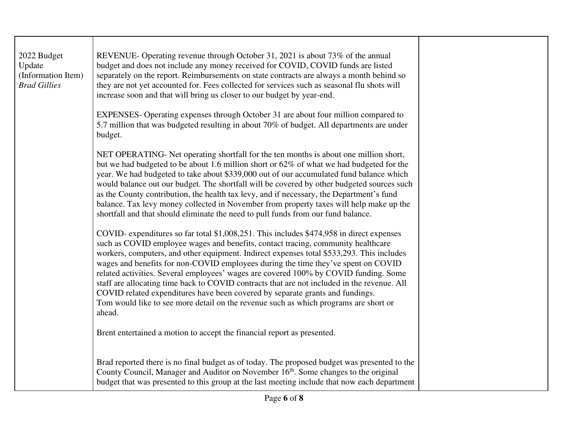| 2022 Budget<br>Update<br>(Information Item)<br><b>Brad Gillies</b> | REVENUE- Operating revenue through October 31, 2021 is about 73% of the annual<br>budget and does not include any money received for COVID, COVID funds are listed<br>separately on the report. Reimbursements on state contracts are always a month behind so<br>they are not yet accounted for. Fees collected for services such as seasonal flu shots will<br>increase soon and that will bring us closer to our budget by year-end.                                                                                                                                                                                                                                                                                                  |  |
|--------------------------------------------------------------------|------------------------------------------------------------------------------------------------------------------------------------------------------------------------------------------------------------------------------------------------------------------------------------------------------------------------------------------------------------------------------------------------------------------------------------------------------------------------------------------------------------------------------------------------------------------------------------------------------------------------------------------------------------------------------------------------------------------------------------------|--|
|                                                                    | EXPENSES- Operating expenses through October 31 are about four million compared to<br>5.7 million that was budgeted resulting in about 70% of budget. All departments are under<br>budget.                                                                                                                                                                                                                                                                                                                                                                                                                                                                                                                                               |  |
|                                                                    | NET OPERATING- Net operating shortfall for the ten months is about one million short,<br>but we had budgeted to be about 1.6 million short or 62% of what we had budgeted for the<br>year. We had budgeted to take about \$339,000 out of our accumulated fund balance which<br>would balance out our budget. The shortfall will be covered by other budgeted sources such<br>as the County contribution, the health tax levy, and if necessary, the Department's fund<br>balance. Tax levy money collected in November from property taxes will help make up the<br>shortfall and that should eliminate the need to pull funds from our fund balance.                                                                                   |  |
|                                                                    | COVID- expenditures so far total \$1,008,251. This includes \$474,958 in direct expenses<br>such as COVID employee wages and benefits, contact tracing, community healthcare<br>workers, computers, and other equipment. Indirect expenses total \$533,293. This includes<br>wages and benefits for non-COVID employees during the time they've spent on COVID<br>related activities. Several employees' wages are covered 100% by COVID funding. Some<br>staff are allocating time back to COVID contracts that are not included in the revenue. All<br>COVID related expenditures have been covered by separate grants and fundings.<br>Tom would like to see more detail on the revenue such as which programs are short or<br>ahead. |  |
|                                                                    | Brent entertained a motion to accept the financial report as presented.                                                                                                                                                                                                                                                                                                                                                                                                                                                                                                                                                                                                                                                                  |  |
|                                                                    | Brad reported there is no final budget as of today. The proposed budget was presented to the<br>County Council, Manager and Auditor on November 16 <sup>th</sup> . Some changes to the original<br>budget that was presented to this group at the last meeting include that now each department                                                                                                                                                                                                                                                                                                                                                                                                                                          |  |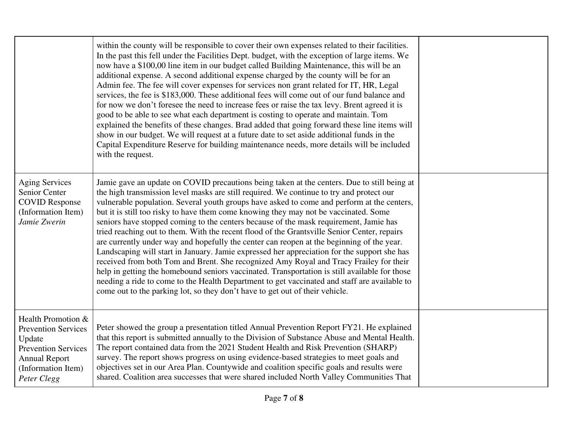|                                                                                                                                                       | within the county will be responsible to cover their own expenses related to their facilities.<br>In the past this fell under the Facilities Dept. budget, with the exception of large items. We<br>now have a \$100,00 line item in our budget called Building Maintenance, this will be an<br>additional expense. A second additional expense charged by the county will be for an<br>Admin fee. The fee will cover expenses for services non grant related for IT, HR, Legal<br>services, the fee is \$183,000. These additional fees will come out of our fund balance and<br>for now we don't foresee the need to increase fees or raise the tax levy. Brent agreed it is<br>good to be able to see what each department is costing to operate and maintain. Tom<br>explained the benefits of these changes. Brad added that going forward these line items will<br>show in our budget. We will request at a future date to set aside additional funds in the<br>Capital Expenditure Reserve for building maintenance needs, more details will be included<br>with the request.                                                         |  |
|-------------------------------------------------------------------------------------------------------------------------------------------------------|----------------------------------------------------------------------------------------------------------------------------------------------------------------------------------------------------------------------------------------------------------------------------------------------------------------------------------------------------------------------------------------------------------------------------------------------------------------------------------------------------------------------------------------------------------------------------------------------------------------------------------------------------------------------------------------------------------------------------------------------------------------------------------------------------------------------------------------------------------------------------------------------------------------------------------------------------------------------------------------------------------------------------------------------------------------------------------------------------------------------------------------------|--|
| <b>Aging Services</b><br>Senior Center<br><b>COVID Response</b><br>(Information Item)<br>Jamie Zwerin                                                 | Jamie gave an update on COVID precautions being taken at the centers. Due to still being at<br>the high transmission level masks are still required. We continue to try and protect our<br>vulnerable population. Several youth groups have asked to come and perform at the centers,<br>but it is still too risky to have them come knowing they may not be vaccinated. Some<br>seniors have stopped coming to the centers because of the mask requirement, Jamie has<br>tried reaching out to them. With the recent flood of the Grantsville Senior Center, repairs<br>are currently under way and hopefully the center can reopen at the beginning of the year.<br>Landscaping will start in January. Jamie expressed her appreciation for the support she has<br>received from both Tom and Brent. She recognized Amy Royal and Tracy Frailey for their<br>help in getting the homebound seniors vaccinated. Transportation is still available for those<br>needing a ride to come to the Health Department to get vaccinated and staff are available to<br>come out to the parking lot, so they don't have to get out of their vehicle. |  |
| Health Promotion &<br><b>Prevention Services</b><br>Update<br><b>Prevention Services</b><br><b>Annual Report</b><br>(Information Item)<br>Peter Clegg | Peter showed the group a presentation titled Annual Prevention Report FY21. He explained<br>that this report is submitted annually to the Division of Substance Abuse and Mental Health.<br>The report contained data from the 2021 Student Health and Risk Prevention (SHARP)<br>survey. The report shows progress on using evidence-based strategies to meet goals and<br>objectives set in our Area Plan. Countywide and coalition specific goals and results were<br>shared. Coalition area successes that were shared included North Valley Communities That                                                                                                                                                                                                                                                                                                                                                                                                                                                                                                                                                                            |  |